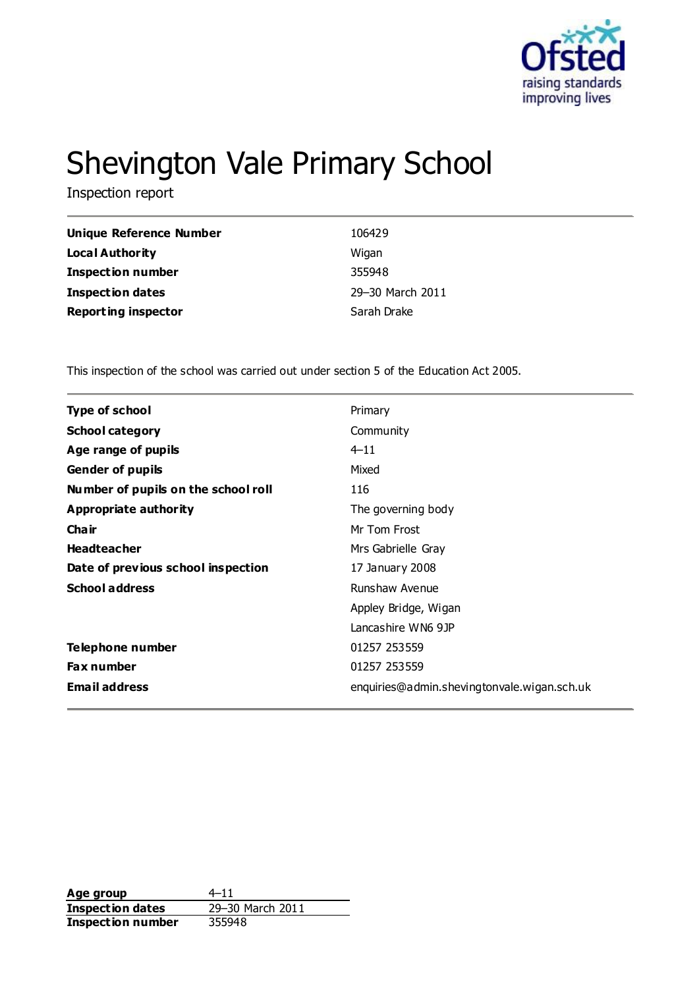

# Shevington Vale Primary School

Inspection report

| Unique Reference Number    | 106429           |
|----------------------------|------------------|
| Local Authority            | Wigan            |
| <b>Inspection number</b>   | 355948           |
| <b>Inspection dates</b>    | 29-30 March 2011 |
| <b>Reporting inspector</b> | Sarah Drake      |

This inspection of the school was carried out under section 5 of the Education Act 2005.

| <b>Type of school</b><br>Primary<br>Community<br><b>School category</b><br>$4 - 11$<br>Age range of pupils<br>Mixed<br><b>Gender of pupils</b> |  |
|------------------------------------------------------------------------------------------------------------------------------------------------|--|
|                                                                                                                                                |  |
|                                                                                                                                                |  |
|                                                                                                                                                |  |
|                                                                                                                                                |  |
| Number of pupils on the school roll<br>116                                                                                                     |  |
| Appropriate authority<br>The governing body                                                                                                    |  |
| Cha ir<br>Mr Tom Frost                                                                                                                         |  |
| <b>Headteacher</b><br>Mrs Gabrielle Gray                                                                                                       |  |
| Date of previous school inspection<br>17 January 2008                                                                                          |  |
| <b>School address</b><br>Runshaw Avenue                                                                                                        |  |
| Appley Bridge, Wigan                                                                                                                           |  |
| Lancashire WN6 9JP                                                                                                                             |  |
| Telephone number<br>01257 253559                                                                                                               |  |
| <b>Fax number</b><br>01257 253559                                                                                                              |  |
| <b>Email address</b><br>enquiries@admin.shevingtonvale.wigan.sch.uk                                                                            |  |

**Age group** 4–11<br> **Inspection dates** 29–30 March 2011 **Inspection dates Inspection number** 355948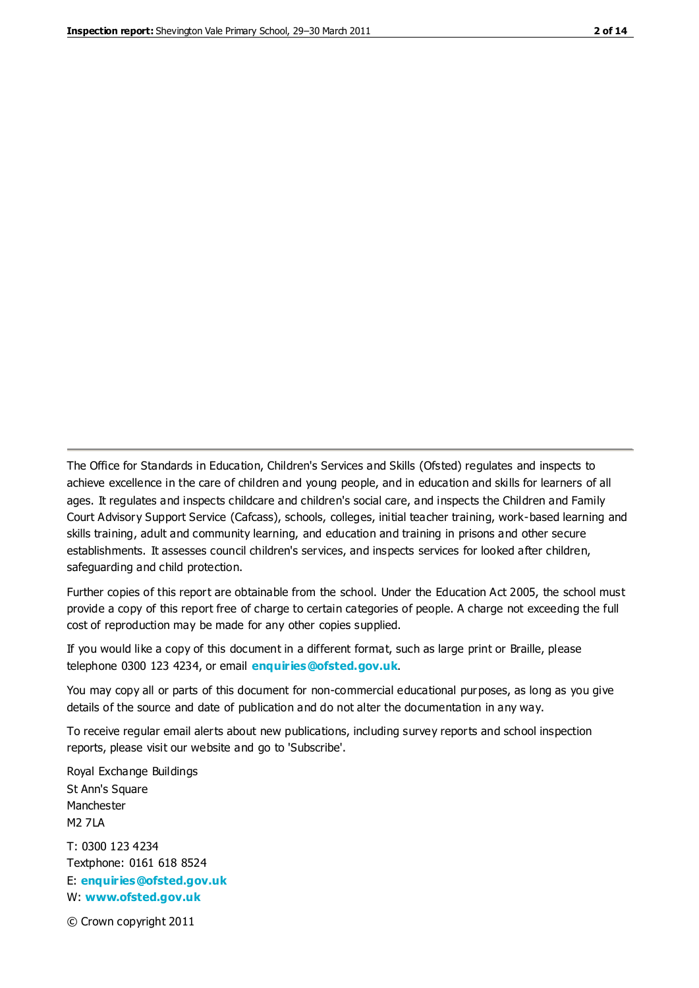The Office for Standards in Education, Children's Services and Skills (Ofsted) regulates and inspects to achieve excellence in the care of children and young people, and in education and skills for learners of all ages. It regulates and inspects childcare and children's social care, and inspects the Children and Family Court Advisory Support Service (Cafcass), schools, colleges, initial teacher training, work-based learning and skills training, adult and community learning, and education and training in prisons and other secure establishments. It assesses council children's services, and inspects services for looked after children, safeguarding and child protection.

Further copies of this report are obtainable from the school. Under the Education Act 2005, the school must provide a copy of this report free of charge to certain categories of people. A charge not exceeding the full cost of reproduction may be made for any other copies supplied.

If you would like a copy of this document in a different format, such as large print or Braille, please telephone 0300 123 4234, or email **[enquiries@ofsted.gov.uk](mailto:enquiries@ofsted.gov.uk)**.

You may copy all or parts of this document for non-commercial educational purposes, as long as you give details of the source and date of publication and do not alter the documentation in any way.

To receive regular email alerts about new publications, including survey reports and school inspection reports, please visit our website and go to 'Subscribe'.

Royal Exchange Buildings St Ann's Square Manchester M2 7LA T: 0300 123 4234 Textphone: 0161 618 8524 E: **[enquiries@ofsted.gov.uk](mailto:enquiries@ofsted.gov.uk)**

W: **[www.ofsted.gov.uk](http://www.ofsted.gov.uk/)**

© Crown copyright 2011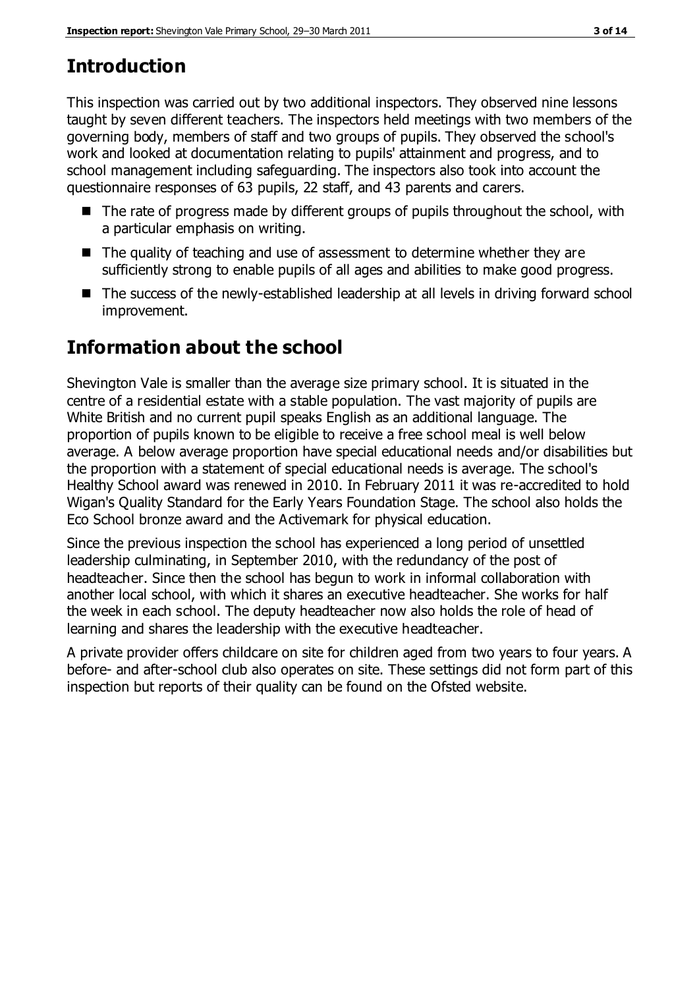# **Introduction**

This inspection was carried out by two additional inspectors. They observed nine lessons taught by seven different teachers. The inspectors held meetings with two members of the governing body, members of staff and two groups of pupils. They observed the school's work and looked at documentation relating to pupils' attainment and progress, and to school management including safeguarding. The inspectors also took into account the questionnaire responses of 63 pupils, 22 staff, and 43 parents and carers.

- $\blacksquare$  The rate of progress made by different groups of pupils throughout the school, with a particular emphasis on writing.
- The quality of teaching and use of assessment to determine whether they are sufficiently strong to enable pupils of all ages and abilities to make good progress.
- The success of the newly-established leadership at all levels in driving forward school improvement.

## **Information about the school**

Shevington Vale is smaller than the average size primary school. It is situated in the centre of a residential estate with a stable population. The vast majority of pupils are White British and no current pupil speaks English as an additional language. The proportion of pupils known to be eligible to receive a free school meal is well below average. A below average proportion have special educational needs and/or disabilities but the proportion with a statement of special educational needs is average. The school's Healthy School award was renewed in 2010. In February 2011 it was re-accredited to hold Wigan's Quality Standard for the Early Years Foundation Stage. The school also holds the Eco School bronze award and the Activemark for physical education.

Since the previous inspection the school has experienced a long period of unsettled leadership culminating, in September 2010, with the redundancy of the post of headteacher. Since then the school has begun to work in informal collaboration with another local school, with which it shares an executive headteacher. She works for half the week in each school. The deputy headteacher now also holds the role of head of learning and shares the leadership with the executive headteacher.

A private provider offers childcare on site for children aged from two years to four years. A before- and after-school club also operates on site. These settings did not form part of this inspection but reports of their quality can be found on the Ofsted website.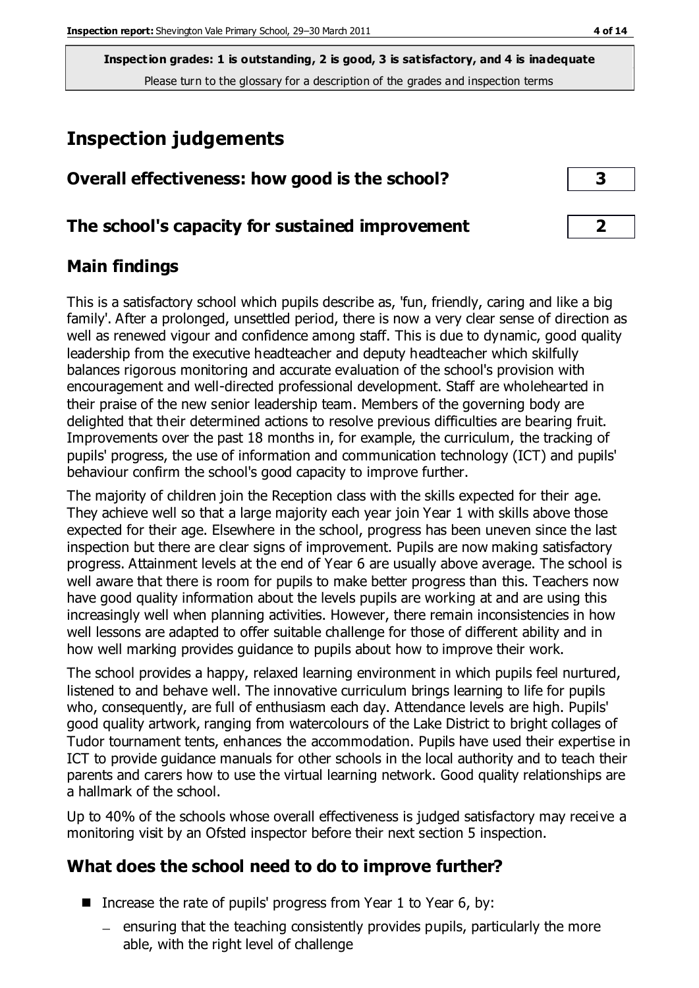# **Inspection judgements**

| Overall effectiveness: how good is the school? |  |
|------------------------------------------------|--|
|------------------------------------------------|--|

#### **The school's capacity for sustained improvement 2**

#### **Main findings**

This is a satisfactory school which pupils describe as, 'fun, friendly, caring and like a big family'. After a prolonged, unsettled period, there is now a very clear sense of direction as well as renewed vigour and confidence among staff. This is due to dynamic, good quality leadership from the executive headteacher and deputy headteacher which skilfully balances rigorous monitoring and accurate evaluation of the school's provision with encouragement and well-directed professional development. Staff are wholehearted in their praise of the new senior leadership team. Members of the governing body are delighted that their determined actions to resolve previous difficulties are bearing fruit. Improvements over the past 18 months in, for example, the curriculum, the tracking of pupils' progress, the use of information and communication technology (ICT) and pupils' behaviour confirm the school's good capacity to improve further.

The majority of children join the Reception class with the skills expected for their age. They achieve well so that a large majority each year join Year 1 with skills above those expected for their age. Elsewhere in the school, progress has been uneven since the last inspection but there are clear signs of improvement. Pupils are now making satisfactory progress. Attainment levels at the end of Year 6 are usually above average. The school is well aware that there is room for pupils to make better progress than this. Teachers now have good quality information about the levels pupils are working at and are using this increasingly well when planning activities. However, there remain inconsistencies in how well lessons are adapted to offer suitable challenge for those of different ability and in how well marking provides guidance to pupils about how to improve their work.

The school provides a happy, relaxed learning environment in which pupils feel nurtured, listened to and behave well. The innovative curriculum brings learning to life for pupils who, consequently, are full of enthusiasm each day. Attendance levels are high. Pupils' good quality artwork, ranging from watercolours of the Lake District to bright collages of Tudor tournament tents, enhances the accommodation. Pupils have used their expertise in ICT to provide guidance manuals for other schools in the local authority and to teach their parents and carers how to use the virtual learning network. Good quality relationships are a hallmark of the school.

Up to 40% of the schools whose overall effectiveness is judged satisfactory may receive a monitoring visit by an Ofsted inspector before their next section 5 inspection.

#### **What does the school need to do to improve further?**

- Increase the rate of pupils' progress from Year 1 to Year 6, by:
	- $-$  ensuring that the teaching consistently provides pupils, particularly the more able, with the right level of challenge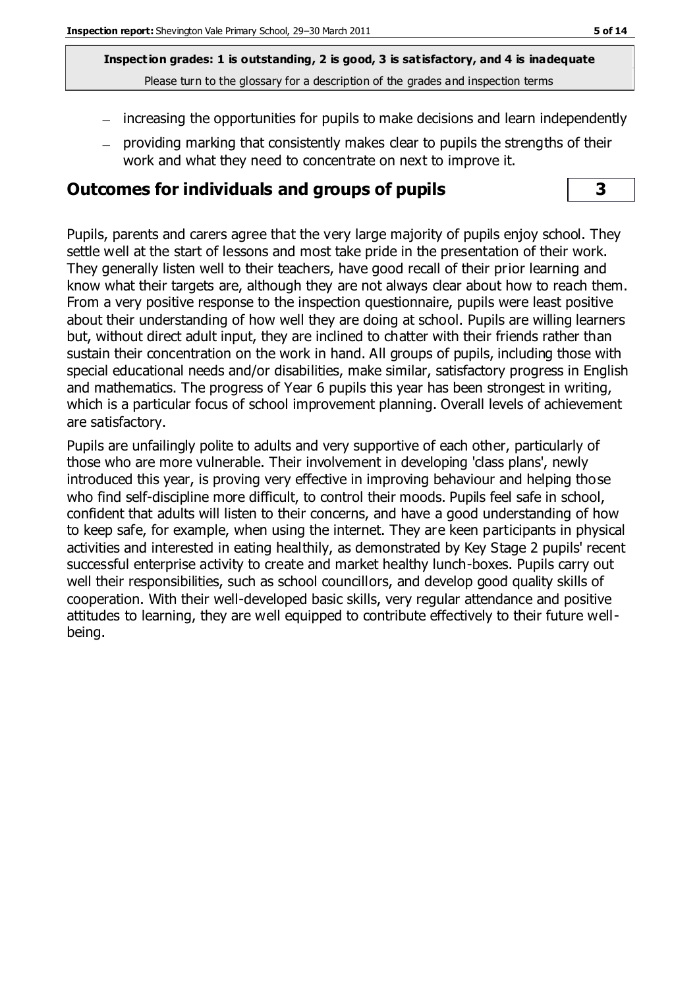- increasing the opportunities for pupils to make decisions and learn independently
- providing marking that consistently makes clear to pupils the strengths of their work and what they need to concentrate on next to improve it.

#### **Outcomes for individuals and groups of pupils 3**

Pupils, parents and carers agree that the very large majority of pupils enjoy school. They settle well at the start of lessons and most take pride in the presentation of their work. They generally listen well to their teachers, have good recall of their prior learning and know what their targets are, although they are not always clear about how to reach them. From a very positive response to the inspection questionnaire, pupils were least positive about their understanding of how well they are doing at school. Pupils are willing learners but, without direct adult input, they are inclined to chatter with their friends rather than sustain their concentration on the work in hand. All groups of pupils, including those with special educational needs and/or disabilities, make similar, satisfactory progress in English and mathematics. The progress of Year 6 pupils this year has been strongest in writing, which is a particular focus of school improvement planning. Overall levels of achievement are satisfactory.

Pupils are unfailingly polite to adults and very supportive of each other, particularly of those who are more vulnerable. Their involvement in developing 'class plans', newly introduced this year, is proving very effective in improving behaviour and helping those who find self-discipline more difficult, to control their moods. Pupils feel safe in school, confident that adults will listen to their concerns, and have a good understanding of how to keep safe, for example, when using the internet. They are keen participants in physical activities and interested in eating healthily, as demonstrated by Key Stage 2 pupils' recent successful enterprise activity to create and market healthy lunch-boxes. Pupils carry out well their responsibilities, such as school councillors, and develop good quality skills of cooperation. With their well-developed basic skills, very regular attendance and positive attitudes to learning, they are well equipped to contribute effectively to their future wellbeing.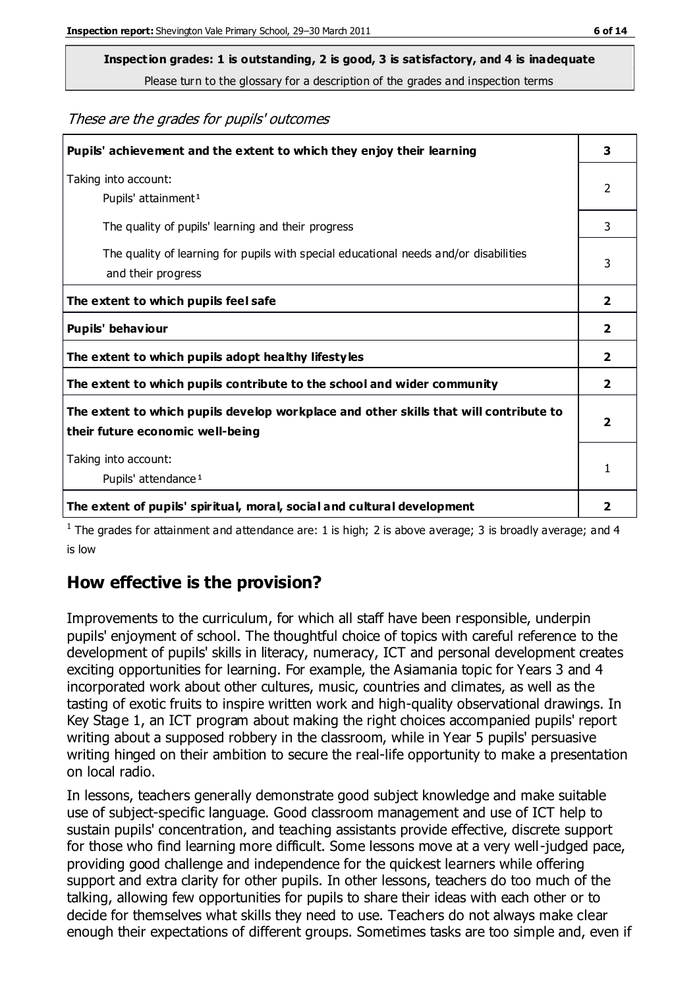# **Inspection grades: 1 is outstanding, 2 is good, 3 is satisfactory, and 4 is inadequate**

Please turn to the glossary for a description of the grades and inspection terms

These are the grades for pupils' outcomes

| Pupils' achievement and the extent to which they enjoy their learning                                                     | 3            |
|---------------------------------------------------------------------------------------------------------------------------|--------------|
| Taking into account:<br>Pupils' attainment <sup>1</sup>                                                                   | 2            |
| The quality of pupils' learning and their progress                                                                        | 3            |
| The quality of learning for pupils with special educational needs and/or disabilities<br>and their progress               | 3            |
| The extent to which pupils feel safe                                                                                      | $\mathbf{2}$ |
| Pupils' behaviour                                                                                                         |              |
| The extent to which pupils adopt healthy lifestyles                                                                       | 2            |
| The extent to which pupils contribute to the school and wider community                                                   |              |
| The extent to which pupils develop workplace and other skills that will contribute to<br>their future economic well-being |              |
| Taking into account:                                                                                                      |              |
| Pupils' attendance <sup>1</sup>                                                                                           |              |
| The extent of pupils' spiritual, moral, social and cultural development                                                   | 2            |

<sup>1</sup> The grades for attainment and attendance are: 1 is high; 2 is above average; 3 is broadly average; and 4 is low

#### **How effective is the provision?**

Improvements to the curriculum, for which all staff have been responsible, underpin pupils' enjoyment of school. The thoughtful choice of topics with careful reference to the development of pupils' skills in literacy, numeracy, ICT and personal development creates exciting opportunities for learning. For example, the Asiamania topic for Years 3 and 4 incorporated work about other cultures, music, countries and climates, as well as the tasting of exotic fruits to inspire written work and high-quality observational drawings. In Key Stage 1, an ICT program about making the right choices accompanied pupils' report writing about a supposed robbery in the classroom, while in Year 5 pupils' persuasive writing hinged on their ambition to secure the real-life opportunity to make a presentation on local radio.

In lessons, teachers generally demonstrate good subject knowledge and make suitable use of subject-specific language. Good classroom management and use of ICT help to sustain pupils' concentration, and teaching assistants provide effective, discrete support for those who find learning more difficult. Some lessons move at a very well-judged pace, providing good challenge and independence for the quickest learners while offering support and extra clarity for other pupils. In other lessons, teachers do too much of the talking, allowing few opportunities for pupils to share their ideas with each other or to decide for themselves what skills they need to use. Teachers do not always make clear enough their expectations of different groups. Sometimes tasks are too simple and, even if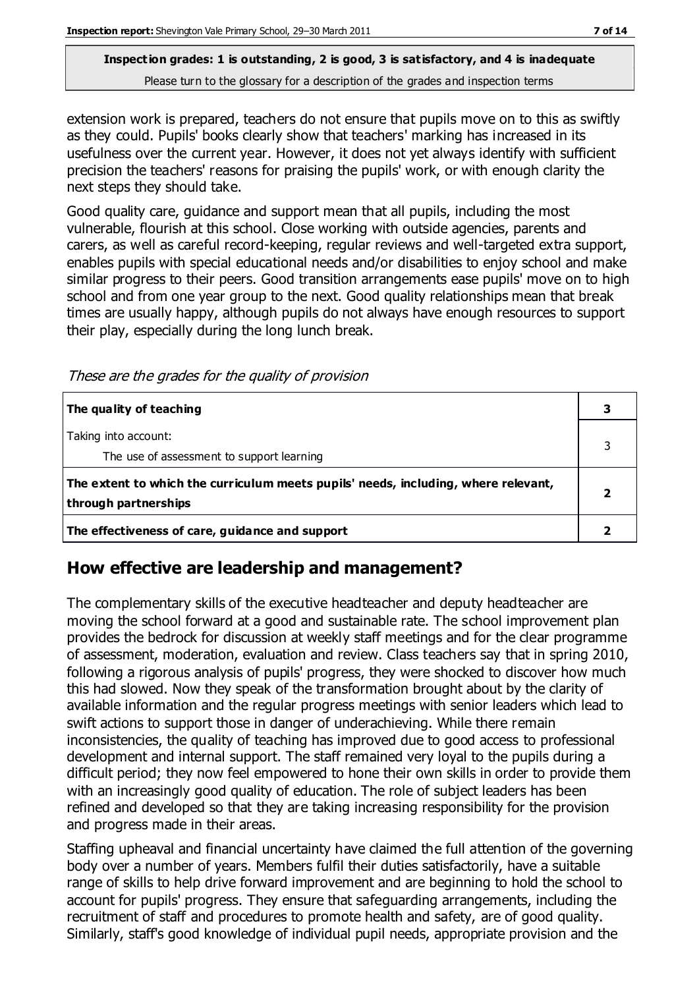extension work is prepared, teachers do not ensure that pupils move on to this as swiftly as they could. Pupils' books clearly show that teachers' marking has increased in its usefulness over the current year. However, it does not yet always identify with sufficient precision the teachers' reasons for praising the pupils' work, or with enough clarity the next steps they should take.

Good quality care, guidance and support mean that all pupils, including the most vulnerable, flourish at this school. Close working with outside agencies, parents and carers, as well as careful record-keeping, regular reviews and well-targeted extra support, enables pupils with special educational needs and/or disabilities to enjoy school and make similar progress to their peers. Good transition arrangements ease pupils' move on to high school and from one year group to the next. Good quality relationships mean that break times are usually happy, although pupils do not always have enough resources to support their play, especially during the long lunch break.

These are the grades for the quality of provision

| The quality of teaching                                                                                    |  |
|------------------------------------------------------------------------------------------------------------|--|
| Taking into account:<br>The use of assessment to support learning                                          |  |
| The extent to which the curriculum meets pupils' needs, including, where relevant,<br>through partnerships |  |
| The effectiveness of care, guidance and support                                                            |  |

#### **How effective are leadership and management?**

The complementary skills of the executive headteacher and deputy headteacher are moving the school forward at a good and sustainable rate. The school improvement plan provides the bedrock for discussion at weekly staff meetings and for the clear programme of assessment, moderation, evaluation and review. Class teachers say that in spring 2010, following a rigorous analysis of pupils' progress, they were shocked to discover how much this had slowed. Now they speak of the transformation brought about by the clarity of available information and the regular progress meetings with senior leaders which lead to swift actions to support those in danger of underachieving. While there remain inconsistencies, the quality of teaching has improved due to good access to professional development and internal support. The staff remained very loyal to the pupils during a difficult period; they now feel empowered to hone their own skills in order to provide them with an increasingly good quality of education. The role of subject leaders has been refined and developed so that they are taking increasing responsibility for the provision and progress made in their areas.

Staffing upheaval and financial uncertainty have claimed the full attention of the governing body over a number of years. Members fulfil their duties satisfactorily, have a suitable range of skills to help drive forward improvement and are beginning to hold the school to account for pupils' progress. They ensure that safeguarding arrangements, including the recruitment of staff and procedures to promote health and safety, are of good quality. Similarly, staff's good knowledge of individual pupil needs, appropriate provision and the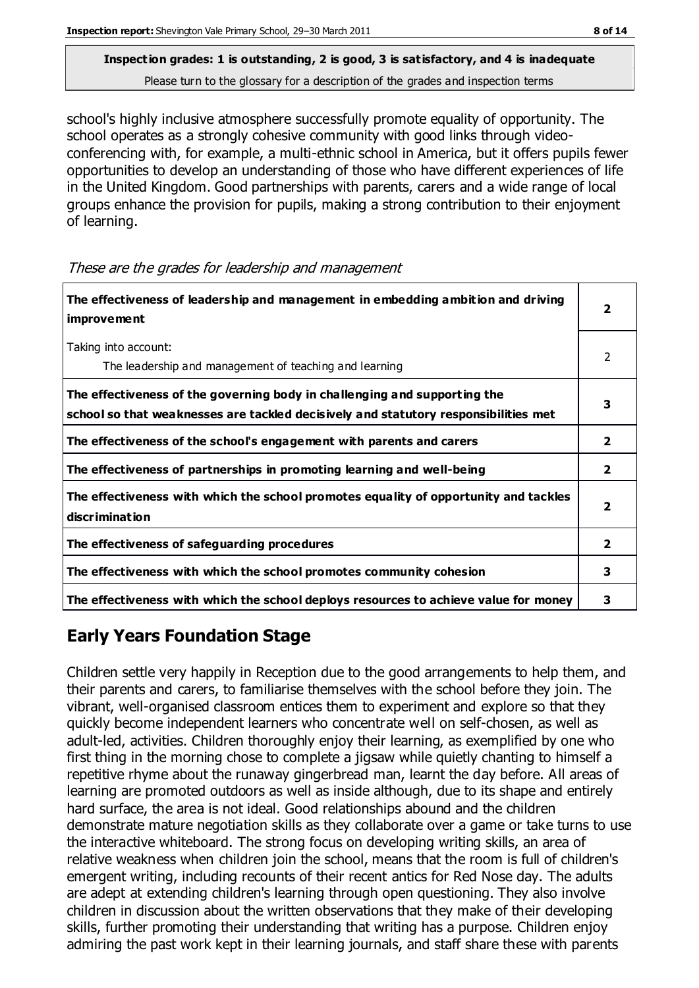school's highly inclusive atmosphere successfully promote equality of opportunity. The school operates as a strongly cohesive community with good links through videoconferencing with, for example, a multi-ethnic school in America, but it offers pupils fewer opportunities to develop an understanding of those who have different experiences of life in the United Kingdom. Good partnerships with parents, carers and a wide range of local groups enhance the provision for pupils, making a strong contribution to their enjoyment of learning.

These are the grades for leadership and management

| The effectiveness of leadership and management in embedding ambition and driving<br><i>improvement</i>                                                           | 2 |
|------------------------------------------------------------------------------------------------------------------------------------------------------------------|---|
| Taking into account:<br>The leadership and management of teaching and learning                                                                                   | 2 |
| The effectiveness of the governing body in challenging and supporting the<br>school so that weaknesses are tackled decisively and statutory responsibilities met | 3 |
| The effectiveness of the school's engagement with parents and carers                                                                                             | 2 |
| The effectiveness of partnerships in promoting learning and well-being                                                                                           | 2 |
| The effectiveness with which the school promotes equality of opportunity and tackles<br>discrimination                                                           | 2 |
| The effectiveness of safeguarding procedures                                                                                                                     | 2 |
| The effectiveness with which the school promotes community cohesion                                                                                              | 3 |
| The effectiveness with which the school deploys resources to achieve value for money                                                                             | 3 |

#### **Early Years Foundation Stage**

Children settle very happily in Reception due to the good arrangements to help them, and their parents and carers, to familiarise themselves with the school before they join. The vibrant, well-organised classroom entices them to experiment and explore so that they quickly become independent learners who concentrate well on self-chosen, as well as adult-led, activities. Children thoroughly enjoy their learning, as exemplified by one who first thing in the morning chose to complete a jigsaw while quietly chanting to himself a repetitive rhyme about the runaway gingerbread man, learnt the day before. All areas of learning are promoted outdoors as well as inside although, due to its shape and entirely hard surface, the area is not ideal. Good relationships abound and the children demonstrate mature negotiation skills as they collaborate over a game or take turns to use the interactive whiteboard. The strong focus on developing writing skills, an area of relative weakness when children join the school, means that the room is full of children's emergent writing, including recounts of their recent antics for Red Nose day. The adults are adept at extending children's learning through open questioning. They also involve children in discussion about the written observations that they make of their developing skills, further promoting their understanding that writing has a purpose. Children enjoy admiring the past work kept in their learning journals, and staff share these with parents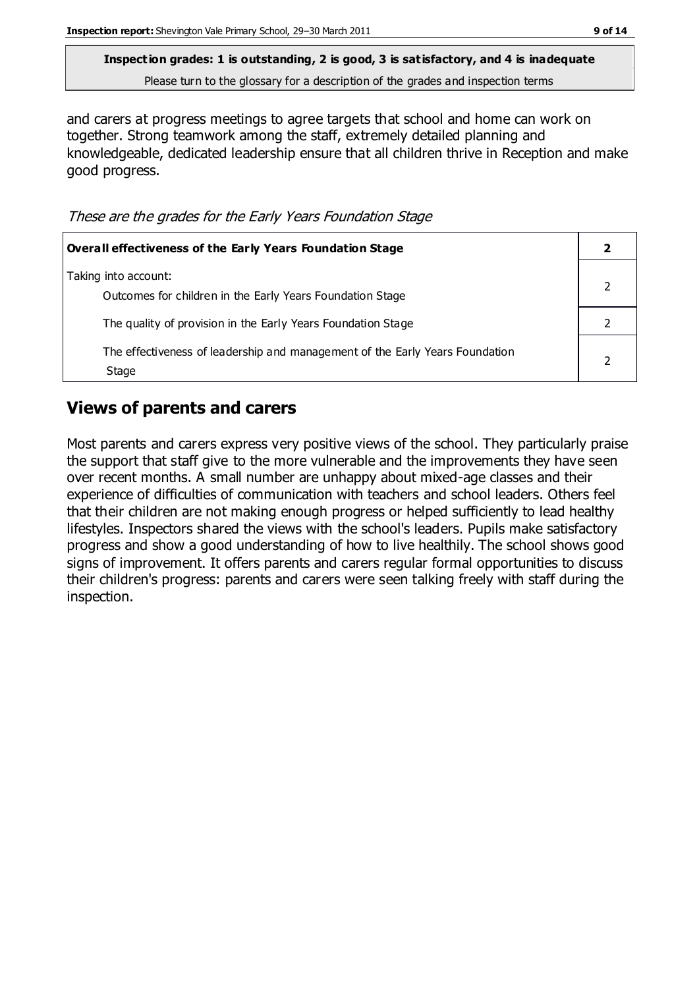**Inspection grades: 1 is outstanding, 2 is good, 3 is satisfactory, and 4 is inadequate**

Please turn to the glossary for a description of the grades and inspection terms

and carers at progress meetings to agree targets that school and home can work on together. Strong teamwork among the staff, extremely detailed planning and knowledgeable, dedicated leadership ensure that all children thrive in Reception and make good progress.

These are the grades for the Early Years Foundation Stage

| <b>Overall effectiveness of the Early Years Foundation Stage</b>                      |  |
|---------------------------------------------------------------------------------------|--|
| Taking into account:<br>Outcomes for children in the Early Years Foundation Stage     |  |
| The quality of provision in the Early Years Foundation Stage                          |  |
| The effectiveness of leadership and management of the Early Years Foundation<br>Stage |  |

#### **Views of parents and carers**

Most parents and carers express very positive views of the school. They particularly praise the support that staff give to the more vulnerable and the improvements they have seen over recent months. A small number are unhappy about mixed-age classes and their experience of difficulties of communication with teachers and school leaders. Others feel that their children are not making enough progress or helped sufficiently to lead healthy lifestyles. Inspectors shared the views with the school's leaders. Pupils make satisfactory progress and show a good understanding of how to live healthily. The school shows good signs of improvement. It offers parents and carers regular formal opportunities to discuss their children's progress: parents and carers were seen talking freely with staff during the inspection.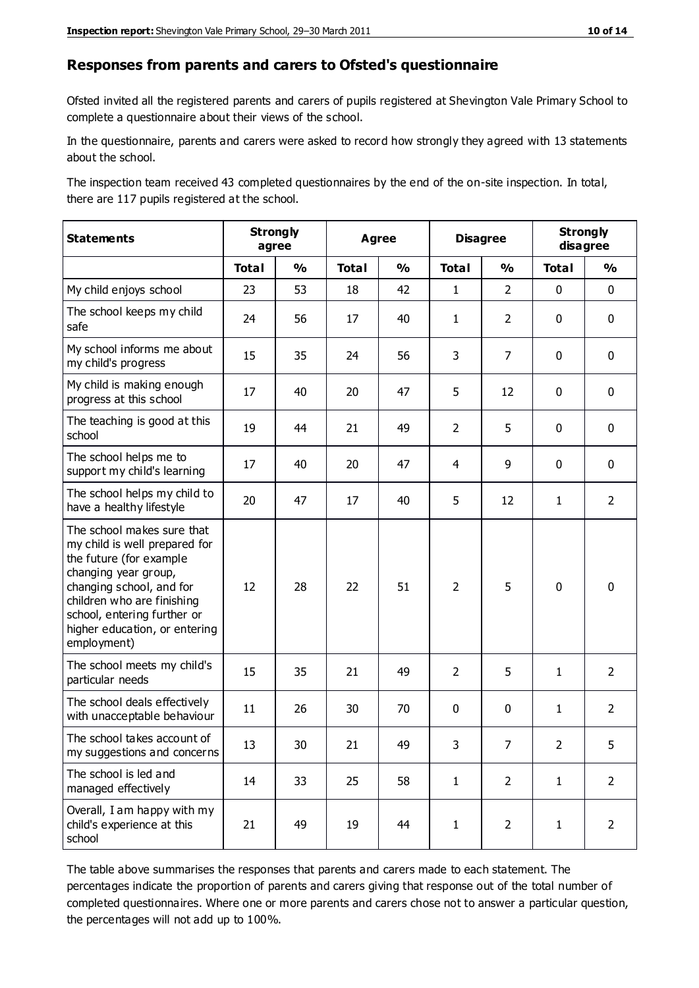#### **Responses from parents and carers to Ofsted's questionnaire**

Ofsted invited all the registered parents and carers of pupils registered at Shevington Vale Primary School to complete a questionnaire about their views of the school.

In the questionnaire, parents and carers were asked to record how strongly they agreed with 13 statements about the school.

The inspection team received 43 completed questionnaires by the end of the on-site inspection. In total, there are 117 pupils registered at the school.

| <b>Statements</b>                                                                                                                                                                                                                                       | <b>Strongly</b><br>agree |               | Agree        | <b>Disagree</b> |                | <b>Strongly</b><br>disagree |              |                |
|---------------------------------------------------------------------------------------------------------------------------------------------------------------------------------------------------------------------------------------------------------|--------------------------|---------------|--------------|-----------------|----------------|-----------------------------|--------------|----------------|
|                                                                                                                                                                                                                                                         | <b>Total</b>             | $\frac{0}{0}$ | <b>Total</b> | $\frac{1}{2}$   | <b>Total</b>   | $\frac{1}{2}$               | <b>Total</b> | %              |
| My child enjoys school                                                                                                                                                                                                                                  | 23                       | 53            | 18           | 42              | $\mathbf{1}$   | $\overline{2}$              | 0            | $\mathbf 0$    |
| The school keeps my child<br>safe                                                                                                                                                                                                                       | 24                       | 56            | 17           | 40              | $\mathbf{1}$   | $\overline{2}$              | 0            | $\mathbf 0$    |
| My school informs me about<br>my child's progress                                                                                                                                                                                                       | 15                       | 35            | 24           | 56              | 3              | 7                           | $\mathbf 0$  | $\mathbf 0$    |
| My child is making enough<br>progress at this school                                                                                                                                                                                                    | 17                       | 40            | 20           | 47              | 5              | 12                          | $\mathbf 0$  | $\mathbf 0$    |
| The teaching is good at this<br>school                                                                                                                                                                                                                  | 19                       | 44            | 21           | 49              | $\overline{2}$ | 5                           | $\mathbf 0$  | $\mathbf 0$    |
| The school helps me to<br>support my child's learning                                                                                                                                                                                                   | 17                       | 40            | 20           | 47              | 4              | 9                           | $\mathbf 0$  | $\mathbf 0$    |
| The school helps my child to<br>have a healthy lifestyle                                                                                                                                                                                                | 20                       | 47            | 17           | 40              | 5              | 12                          | 1            | $\overline{2}$ |
| The school makes sure that<br>my child is well prepared for<br>the future (for example<br>changing year group,<br>changing school, and for<br>children who are finishing<br>school, entering further or<br>higher education, or entering<br>employment) | 12                       | 28            | 22           | 51              | $\overline{2}$ | 5                           | $\mathbf 0$  | $\mathbf 0$    |
| The school meets my child's<br>particular needs                                                                                                                                                                                                         | 15                       | 35            | 21           | 49              | $\overline{2}$ | 5                           | $\mathbf{1}$ | $\overline{2}$ |
| The school deals effectively<br>with unacceptable behaviour                                                                                                                                                                                             | 11                       | 26            | 30           | 70              | 0              | 0                           | $\mathbf{1}$ | $\overline{2}$ |
| The school takes account of<br>my suggestions and concerns                                                                                                                                                                                              | 13                       | 30            | 21           | 49              | 3              | $\overline{7}$              | 2            | 5              |
| The school is led and<br>managed effectively                                                                                                                                                                                                            | 14                       | 33            | 25           | 58              | $\mathbf{1}$   | $\overline{2}$              | $\mathbf{1}$ | $\overline{2}$ |
| Overall, I am happy with my<br>child's experience at this<br>school                                                                                                                                                                                     | 21                       | 49            | 19           | 44              | $\mathbf{1}$   | $\overline{2}$              | $\mathbf{1}$ | $\overline{2}$ |

The table above summarises the responses that parents and carers made to each statement. The percentages indicate the proportion of parents and carers giving that response out of the total number of completed questionnaires. Where one or more parents and carers chose not to answer a particular question, the percentages will not add up to 100%.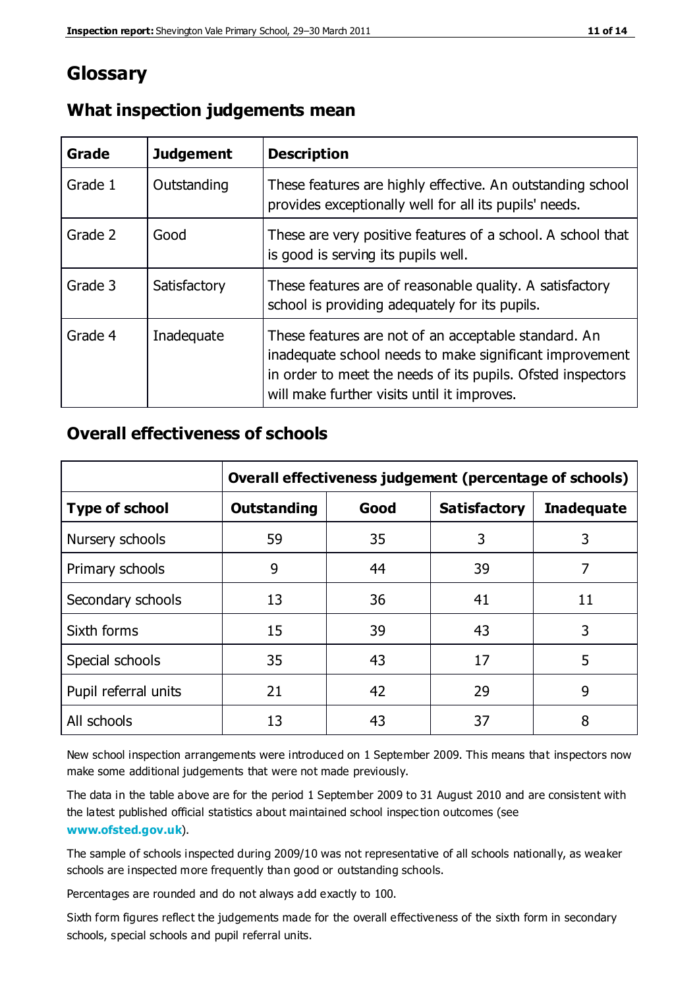## **Glossary**

| Grade   | <b>Judgement</b> | <b>Description</b>                                                                                                                                                                                                            |
|---------|------------------|-------------------------------------------------------------------------------------------------------------------------------------------------------------------------------------------------------------------------------|
| Grade 1 | Outstanding      | These features are highly effective. An outstanding school<br>provides exceptionally well for all its pupils' needs.                                                                                                          |
| Grade 2 | Good             | These are very positive features of a school. A school that<br>is good is serving its pupils well.                                                                                                                            |
| Grade 3 | Satisfactory     | These features are of reasonable quality. A satisfactory<br>school is providing adequately for its pupils.                                                                                                                    |
| Grade 4 | Inadequate       | These features are not of an acceptable standard. An<br>inadequate school needs to make significant improvement<br>in order to meet the needs of its pupils. Ofsted inspectors<br>will make further visits until it improves. |

#### **What inspection judgements mean**

#### **Overall effectiveness of schools**

|                       | Overall effectiveness judgement (percentage of schools) |      |                     |                   |
|-----------------------|---------------------------------------------------------|------|---------------------|-------------------|
| <b>Type of school</b> | <b>Outstanding</b>                                      | Good | <b>Satisfactory</b> | <b>Inadequate</b> |
| Nursery schools       | 59                                                      | 35   | 3                   | 3                 |
| Primary schools       | 9                                                       | 44   | 39                  | 7                 |
| Secondary schools     | 13                                                      | 36   | 41                  | 11                |
| Sixth forms           | 15                                                      | 39   | 43                  | 3                 |
| Special schools       | 35                                                      | 43   | 17                  | 5                 |
| Pupil referral units  | 21                                                      | 42   | 29                  | 9                 |
| All schools           | 13                                                      | 43   | 37                  | 8                 |

New school inspection arrangements were introduced on 1 September 2009. This means that inspectors now make some additional judgements that were not made previously.

The data in the table above are for the period 1 September 2009 to 31 August 2010 and are consistent with the latest published official statistics about maintained school inspec tion outcomes (see **[www.ofsted.gov.uk](http://www.ofsted.gov.uk/)**).

The sample of schools inspected during 2009/10 was not representative of all schools nationally, as weaker schools are inspected more frequently than good or outstanding schools.

Percentages are rounded and do not always add exactly to 100.

Sixth form figures reflect the judgements made for the overall effectiveness of the sixth form in secondary schools, special schools and pupil referral units.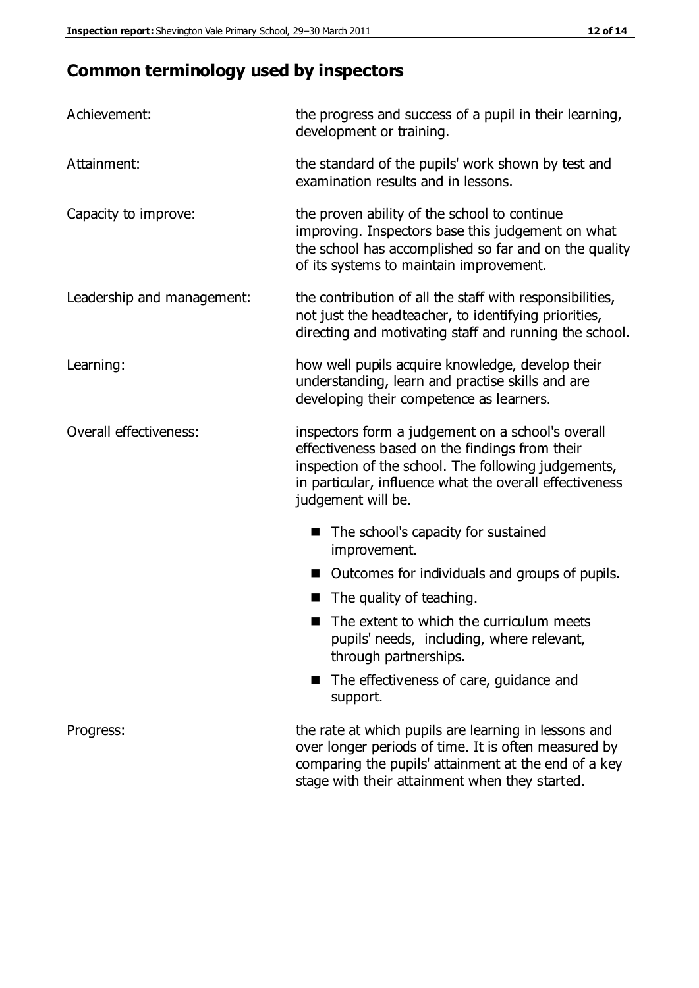# **Common terminology used by inspectors**

| Achievement:               | the progress and success of a pupil in their learning,<br>development or training.                                                                                                                                                          |  |  |
|----------------------------|---------------------------------------------------------------------------------------------------------------------------------------------------------------------------------------------------------------------------------------------|--|--|
| Attainment:                | the standard of the pupils' work shown by test and<br>examination results and in lessons.                                                                                                                                                   |  |  |
| Capacity to improve:       | the proven ability of the school to continue<br>improving. Inspectors base this judgement on what<br>the school has accomplished so far and on the quality<br>of its systems to maintain improvement.                                       |  |  |
| Leadership and management: | the contribution of all the staff with responsibilities,<br>not just the headteacher, to identifying priorities,<br>directing and motivating staff and running the school.                                                                  |  |  |
| Learning:                  | how well pupils acquire knowledge, develop their<br>understanding, learn and practise skills and are<br>developing their competence as learners.                                                                                            |  |  |
| Overall effectiveness:     | inspectors form a judgement on a school's overall<br>effectiveness based on the findings from their<br>inspection of the school. The following judgements,<br>in particular, influence what the overall effectiveness<br>judgement will be. |  |  |
|                            | The school's capacity for sustained<br>improvement.                                                                                                                                                                                         |  |  |
|                            | Outcomes for individuals and groups of pupils.                                                                                                                                                                                              |  |  |
|                            | The quality of teaching.                                                                                                                                                                                                                    |  |  |
|                            | The extent to which the curriculum meets<br>pupils' needs, including, where relevant,<br>through partnerships.                                                                                                                              |  |  |
|                            | The effectiveness of care, guidance and<br>support.                                                                                                                                                                                         |  |  |
| Progress:                  | the rate at which pupils are learning in lessons and<br>over longer periods of time. It is often measured by<br>comparing the pupils' attainment at the end of a key                                                                        |  |  |

stage with their attainment when they started.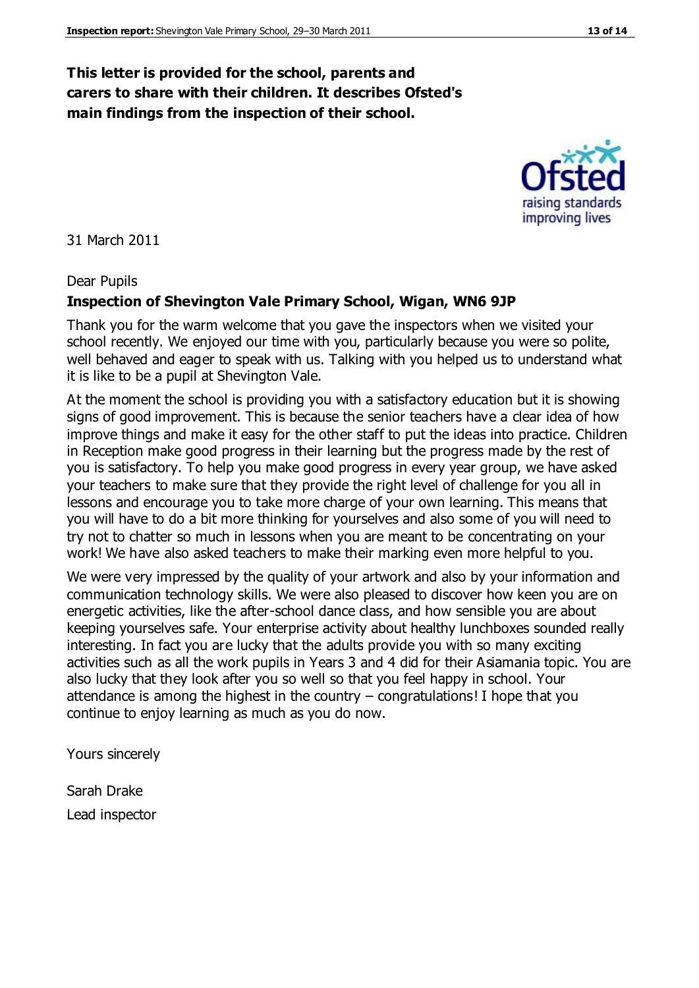#### **This letter is provided for the school, parents and carers to share with their children. It describes Ofsted's main findings from the inspection of their school.**

31 March 2011

#### Dear Pupils

#### **Inspection of Shevington Vale Primary School, Wigan, WN6 9JP**

Thank you for the warm welcome that you gave the inspectors when we visited your school recently. We enjoyed our time with you, particularly because you were so polite, well behaved and eager to speak with us. Talking with you helped us to understand what it is like to be a pupil at Shevington Vale.

At the moment the school is providing you with a satisfactory education but it is showing signs of good improvement. This is because the senior teachers have a clear idea of how improve things and make it easy for the other staff to put the ideas into practice. Children in Reception make good progress in their learning but the progress made by the rest of you is satisfactory. To help you make good progress in every year group, we have asked your teachers to make sure that they provide the right level of challenge for you all in lessons and encourage you to take more charge of your own learning. This means that you will have to do a bit more thinking for yourselves and also some of you will need to try not to chatter so much in lessons when you are meant to be concentrating on your work! We have also asked teachers to make their marking even more helpful to you.

We were very impressed by the quality of your artwork and also by your information and communication technology skills. We were also pleased to discover how keen you are on energetic activities, like the after-school dance class, and how sensible you are about keeping yourselves safe. Your enterprise activity about healthy lunchboxes sounded really interesting. In fact you are lucky that the adults provide you with so many exciting activities such as all the work pupils in Years 3 and 4 did for their Asiamania topic. You are also lucky that they look after you so well so that you feel happy in school. Your attendance is among the highest in the country – congratulations! I hope that you continue to enjoy learning as much as you do now.

Yours sincerely

Sarah Drake Lead inspector